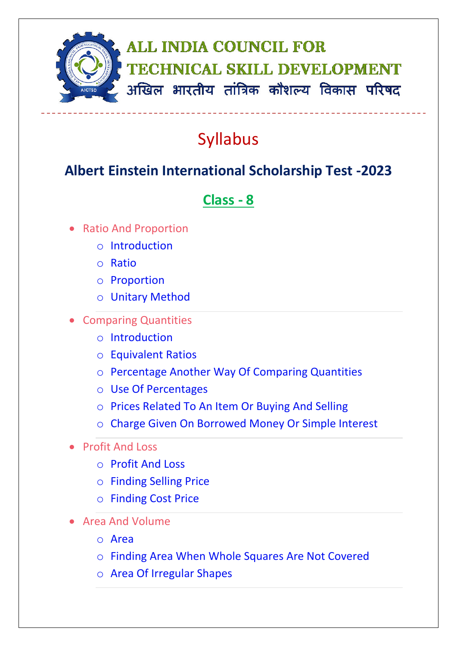

## Syllabus

## **Albert Einstein International Scholarship Test -2023**

## **Class - 8**

- Ratio And Proportion
	- o Introduction
	- o Ratio
	- o Proportion
	- o Unitary Method
- Comparing Quantities
	- o Introduction
	- o Equivalent Ratios
	- o Percentage Another Way Of Comparing Quantities
	- o Use Of Percentages
	- o Prices Related To An Item Or Buying And Selling
	- o Charge Given On Borrowed Money Or Simple Interest
- Profit And Loss
	- o Profit And Loss
	- o Finding Selling Price
	- o Finding Cost Price
- Area And Volume
	- o Area
	- o Finding Area When Whole Squares Are Not Covered
	- o Area Of Irregular Shapes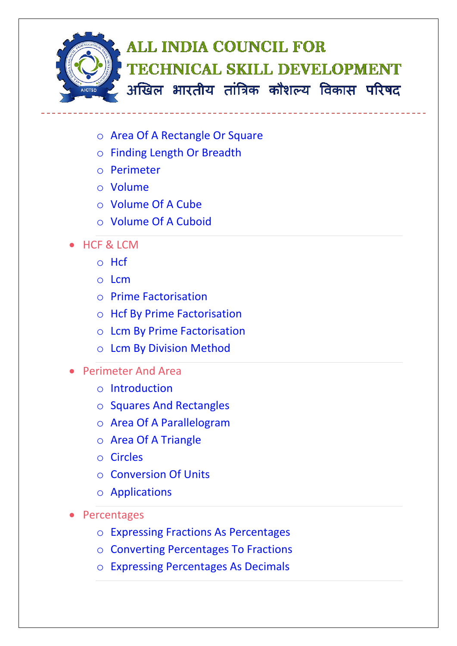

- o Area Of A Rectangle Or Square
- o Finding Length Or Breadth
- o Perimeter
- o Volume
- o Volume Of A Cube
- o Volume Of A Cuboid
- HCF & LCM
	- o Hcf
	- o Lcm
	- o Prime Factorisation
	- o Hcf By Prime Factorisation
	- o Lcm By Prime Factorisation
	- o Lcm By Division Method
- Perimeter And Area
	- o Introduction
	- o Squares And Rectangles
	- o Area Of A Parallelogram
	- o Area Of A Triangle
	- o Circles
	- o Conversion Of Units
	- o Applications
- Percentages
	- o Expressing Fractions As Percentages
	- o Converting Percentages To Fractions
	- o Expressing Percentages As Decimals